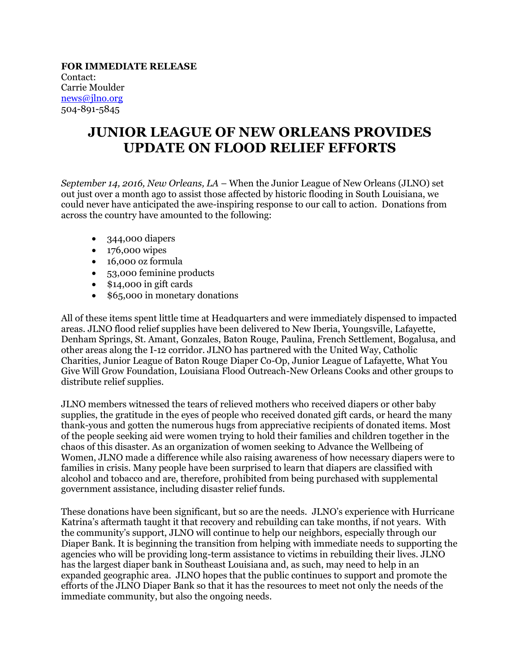## **FOR IMMEDIATE RELEASE** Contact: Carrie Moulder [news@jlno.org](mailto:news@jlno.org) 504-891-5845

## **JUNIOR LEAGUE OF NEW ORLEANS PROVIDES UPDATE ON FLOOD RELIEF EFFORTS**

*September 14, 2016, New Orleans, LA* – When the Junior League of New Orleans (JLNO) set out just over a month ago to assist those affected by historic flooding in South Louisiana, we could never have anticipated the awe-inspiring response to our call to action. Donations from across the country have amounted to the following:

- 344,000 diapers
- 176,000 wipes
- 16,000 oz formula
- 53,000 feminine products
- \$14,000 in gift cards
- \$65,000 in monetary donations

All of these items spent little time at Headquarters and were immediately dispensed to impacted areas. JLNO flood relief supplies have been delivered to New Iberia, Youngsville, Lafayette, Denham Springs, St. Amant, Gonzales, Baton Rouge, Paulina, French Settlement, Bogalusa, and other areas along the I-12 corridor. JLNO has partnered with the United Way, Catholic Charities, Junior League of Baton Rouge Diaper Co-Op, Junior League of Lafayette, What You Give Will Grow Foundation, Louisiana Flood Outreach-New Orleans Cooks and other groups to distribute relief supplies.

JLNO members witnessed the tears of relieved mothers who received diapers or other baby supplies, the gratitude in the eyes of people who received donated gift cards, or heard the many thank-yous and gotten the numerous hugs from appreciative recipients of donated items. Most of the people seeking aid were women trying to hold their families and children together in the chaos of this disaster. As an organization of women seeking to Advance the Wellbeing of Women, JLNO made a difference while also raising awareness of how necessary diapers were to families in crisis. Many people have been surprised to learn that diapers are classified with alcohol and tobacco and are, therefore, prohibited from being purchased with supplemental government assistance, including disaster relief funds.

These donations have been significant, but so are the needs. JLNO's experience with Hurricane Katrina's aftermath taught it that recovery and rebuilding can take months, if not years. With the community's support, JLNO will continue to help our neighbors, especially through our Diaper Bank. It is beginning the transition from helping with immediate needs to supporting the agencies who will be providing long-term assistance to victims in rebuilding their lives. JLNO has the largest diaper bank in Southeast Louisiana and, as such, may need to help in an expanded geographic area. JLNO hopes that the public continues to support and promote the efforts of the JLNO Diaper Bank so that it has the resources to meet not only the needs of the immediate community, but also the ongoing needs.